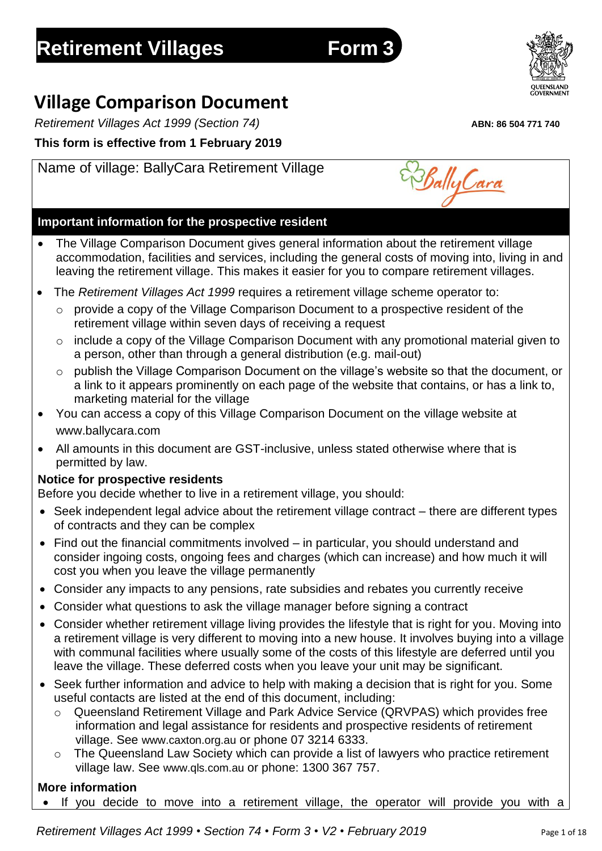# **Retirement Villages Form** 3

# **Village Comparison Document**

*Retirement Villages Act 1999 (Section 74)* **ABN: 86 504 771 740**

**This form is effective from 1 February 2019**

# Name of village: BallyCara Retirement Village

## **Important information for the prospective resident**

- The Village Comparison Document gives general information about the retirement village accommodation, facilities and services, including the general costs of moving into, living in and leaving the retirement village. This makes it easier for you to compare retirement villages.
- The *Retirement Villages Act 1999* requires a retirement village scheme operator to:
	- o provide a copy of the Village Comparison Document to a prospective resident of the retirement village within seven days of receiving a request
	- o include a copy of the Village Comparison Document with any promotional material given to a person, other than through a general distribution (e.g. mail-out)
	- $\circ$  publish the Village Comparison Document on the village's website so that the document, or a link to it appears prominently on each page of the website that contains, or has a link to, marketing material for the village
- You can access a copy of this Village Comparison Document on the village website at www.ballycara.com
- All amounts in this document are GST-inclusive, unless stated otherwise where that is permitted by law.

## **Notice for prospective residents**

Before you decide whether to live in a retirement village, you should:

- Seek independent legal advice about the retirement village contract there are different types of contracts and they can be complex
- Find out the financial commitments involved in particular, you should understand and consider ingoing costs, ongoing fees and charges (which can increase) and how much it will cost you when you leave the village permanently
- Consider any impacts to any pensions, rate subsidies and rebates you currently receive
- Consider what questions to ask the village manager before signing a contract
- Consider whether retirement village living provides the lifestyle that is right for you. Moving into a retirement village is very different to moving into a new house. It involves buying into a village with communal facilities where usually some of the costs of this lifestyle are deferred until you leave the village. These deferred costs when you leave your unit may be significant.
- Seek further information and advice to help with making a decision that is right for you. Some useful contacts are listed at the end of this document, including:
	- o Queensland Retirement Village and Park Advice Service (QRVPAS) which provides free information and legal assistance for residents and prospective residents of retirement village. See [www.caxton.org.au](http://www.caxton.org.au/) or phone 07 3214 6333.
	- o The Queensland Law Society which can provide a list of lawyers who practice retirement village law. See [www.qls.com.au](http://www.qls.com.au/) or phone: 1300 367 757.

# **More information**

If you decide to move into a retirement village, the operator will provide you with a



Bally Cara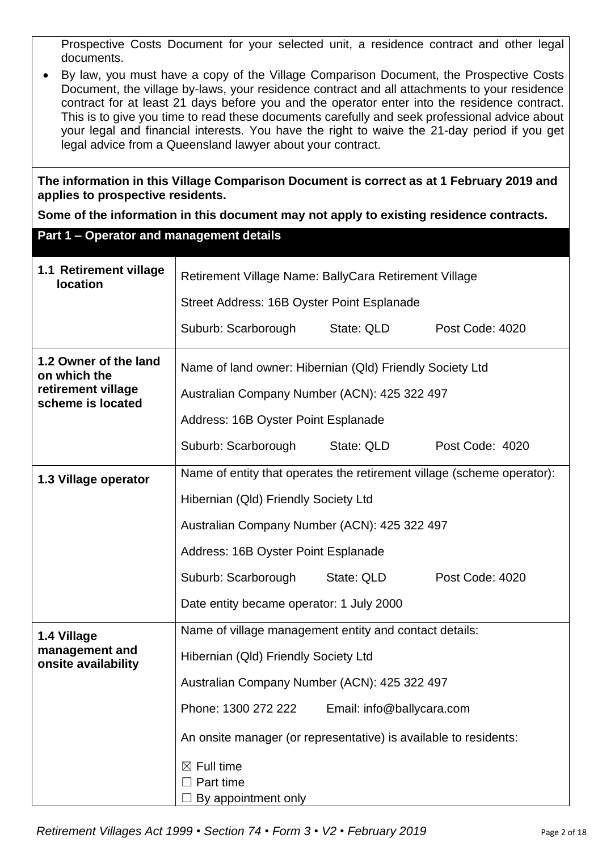Prospective Costs Document for your selected unit, a residence contract and other legal documents.

• By law, you must have a copy of the Village Comparison Document, the Prospective Costs Document, the village by-laws, your residence contract and all attachments to your residence contract for at least 21 days before you and the operator enter into the residence contract. This is to give you time to read these documents carefully and seek professional advice about your legal and financial interests. You have the right to waive the 21-day period if you get legal advice from a Queensland lawyer about your contract.

**The information in this Village Comparison Document is correct as at 1 February 2019 and applies to prospective residents.**

**Some of the information in this document may not apply to existing residence contracts.**

| Part 1 - Operator and management details  |                                                                        |                           |                 |  |  |
|-------------------------------------------|------------------------------------------------------------------------|---------------------------|-----------------|--|--|
| 1.1 Retirement village<br><b>location</b> | Retirement Village Name: BallyCara Retirement Village                  |                           |                 |  |  |
|                                           | Street Address: 16B Oyster Point Esplanade                             |                           |                 |  |  |
|                                           | Suburb: Scarborough                                                    | State: QLD                | Post Code: 4020 |  |  |
| 1.2 Owner of the land<br>on which the     | Name of land owner: Hibernian (Qld) Friendly Society Ltd               |                           |                 |  |  |
| retirement village<br>scheme is located   | Australian Company Number (ACN): 425 322 497                           |                           |                 |  |  |
|                                           | Address: 16B Oyster Point Esplanade                                    |                           |                 |  |  |
|                                           | Suburb: Scarborough                                                    | State: QLD                | Post Code: 4020 |  |  |
| 1.3 Village operator                      | Name of entity that operates the retirement village (scheme operator): |                           |                 |  |  |
|                                           | Hibernian (Qld) Friendly Society Ltd                                   |                           |                 |  |  |
|                                           | Australian Company Number (ACN): 425 322 497                           |                           |                 |  |  |
|                                           | Address: 16B Oyster Point Esplanade                                    |                           |                 |  |  |
|                                           | Suburb: Scarborough<br>State: QLD<br>Post Code: 4020                   |                           |                 |  |  |
|                                           | Date entity became operator: 1 July 2000                               |                           |                 |  |  |
| 1.4 Village                               | Name of village management entity and contact details:                 |                           |                 |  |  |
| management and<br>onsite availability     | Hibernian (Qld) Friendly Society Ltd                                   |                           |                 |  |  |
|                                           | Australian Company Number (ACN): 425 322 497                           |                           |                 |  |  |
|                                           | Phone: 1300 272 222                                                    | Email: info@ballycara.com |                 |  |  |
|                                           | An onsite manager (or representative) is available to residents:       |                           |                 |  |  |
|                                           | $\boxtimes$ Full time                                                  |                           |                 |  |  |
|                                           | Part time                                                              |                           |                 |  |  |
|                                           | By appointment only                                                    |                           |                 |  |  |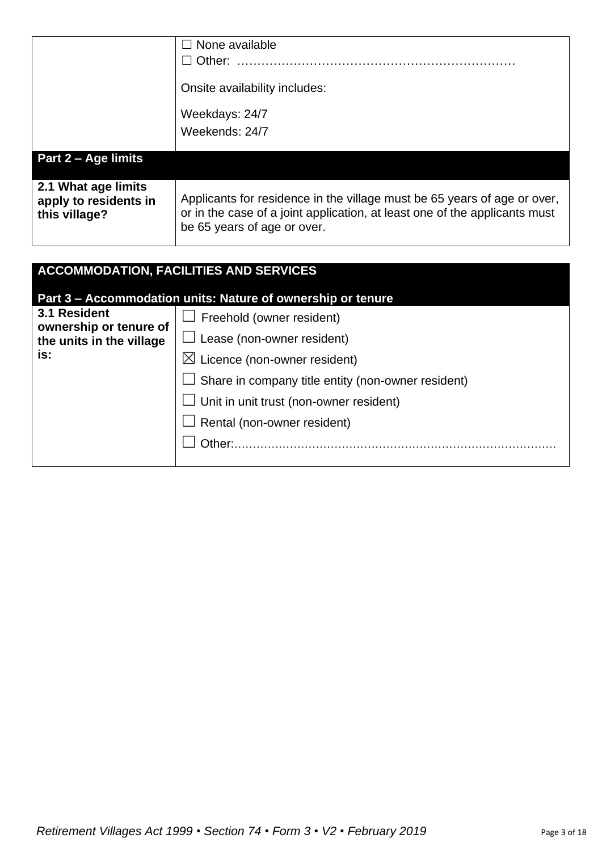|                                                               | $\Box$ None available<br>Other:<br>Onsite availability includes:<br>Weekdays: 24/7                                                                                                    |
|---------------------------------------------------------------|---------------------------------------------------------------------------------------------------------------------------------------------------------------------------------------|
|                                                               | Weekends: 24/7                                                                                                                                                                        |
| Part 2 – Age limits                                           |                                                                                                                                                                                       |
| 2.1 What age limits<br>apply to residents in<br>this village? | Applicants for residence in the village must be 65 years of age or over,<br>or in the case of a joint application, at least one of the applicants must<br>be 65 years of age or over. |

| <b>ACCOMMODATION, FACILITIES AND SERVICES</b> |                                                             |  |  |
|-----------------------------------------------|-------------------------------------------------------------|--|--|
|                                               | Part 3 - Accommodation units: Nature of ownership or tenure |  |  |
| 3.1 Resident<br>ownership or tenure of        | $\Box$ Freehold (owner resident)                            |  |  |
| the units in the village                      | $\Box$ Lease (non-owner resident)                           |  |  |
| is:                                           | $\boxtimes$ Licence (non-owner resident)                    |  |  |
|                                               | $\Box$ Share in company title entity (non-owner resident)   |  |  |
|                                               | $\Box$ Unit in unit trust (non-owner resident)              |  |  |
|                                               | $\Box$ Rental (non-owner resident)                          |  |  |
|                                               | Other:                                                      |  |  |
|                                               |                                                             |  |  |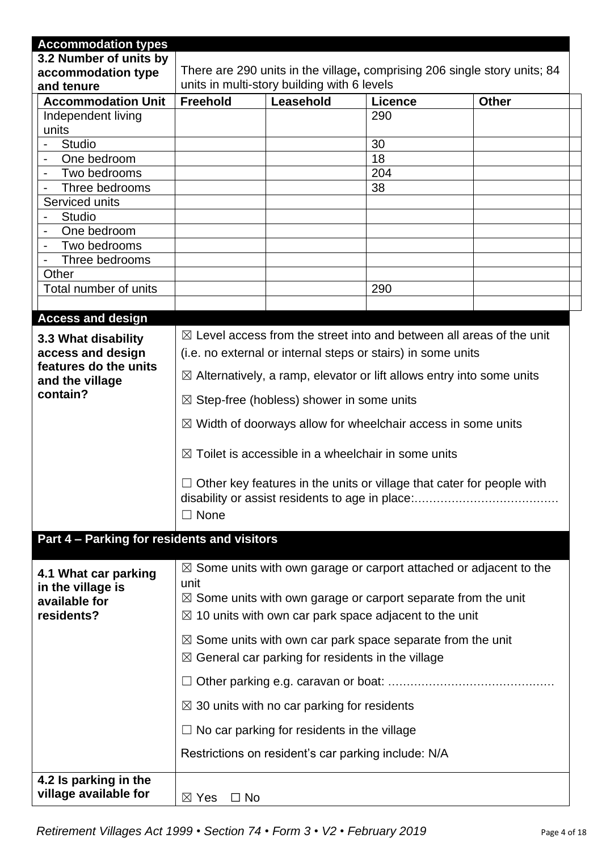| <b>Accommodation types</b>                                               |                                                                                                                                                                                                                                        |                                                        |                                                              |                                                                                 |  |
|--------------------------------------------------------------------------|----------------------------------------------------------------------------------------------------------------------------------------------------------------------------------------------------------------------------------------|--------------------------------------------------------|--------------------------------------------------------------|---------------------------------------------------------------------------------|--|
| 3.2 Number of units by                                                   |                                                                                                                                                                                                                                        |                                                        |                                                              |                                                                                 |  |
| accommodation type                                                       | There are 290 units in the village, comprising 206 single story units; 84                                                                                                                                                              |                                                        |                                                              |                                                                                 |  |
| and tenure                                                               |                                                                                                                                                                                                                                        | units in multi-story building with 6 levels            |                                                              |                                                                                 |  |
| <b>Accommodation Unit</b>                                                | <b>Freehold</b>                                                                                                                                                                                                                        | Leasehold                                              | <b>Licence</b>                                               | <b>Other</b>                                                                    |  |
| Independent living                                                       |                                                                                                                                                                                                                                        |                                                        | 290                                                          |                                                                                 |  |
| units<br>Studio<br>$\blacksquare$                                        |                                                                                                                                                                                                                                        |                                                        | 30                                                           |                                                                                 |  |
| One bedroom<br>$\overline{\phantom{0}}$                                  |                                                                                                                                                                                                                                        |                                                        | 18                                                           |                                                                                 |  |
| Two bedrooms                                                             |                                                                                                                                                                                                                                        |                                                        | 204                                                          |                                                                                 |  |
| Three bedrooms                                                           |                                                                                                                                                                                                                                        |                                                        | 38                                                           |                                                                                 |  |
| Serviced units                                                           |                                                                                                                                                                                                                                        |                                                        |                                                              |                                                                                 |  |
| Studio                                                                   |                                                                                                                                                                                                                                        |                                                        |                                                              |                                                                                 |  |
| One bedroom                                                              |                                                                                                                                                                                                                                        |                                                        |                                                              |                                                                                 |  |
| Two bedrooms                                                             |                                                                                                                                                                                                                                        |                                                        |                                                              |                                                                                 |  |
| Three bedrooms                                                           |                                                                                                                                                                                                                                        |                                                        |                                                              |                                                                                 |  |
| Other                                                                    |                                                                                                                                                                                                                                        |                                                        |                                                              |                                                                                 |  |
| Total number of units                                                    |                                                                                                                                                                                                                                        |                                                        | 290                                                          |                                                                                 |  |
|                                                                          |                                                                                                                                                                                                                                        |                                                        |                                                              |                                                                                 |  |
| <b>Access and design</b>                                                 |                                                                                                                                                                                                                                        |                                                        |                                                              |                                                                                 |  |
| 3.3 What disability                                                      |                                                                                                                                                                                                                                        |                                                        |                                                              | $\boxtimes$ Level access from the street into and between all areas of the unit |  |
| access and design                                                        |                                                                                                                                                                                                                                        |                                                        | (i.e. no external or internal steps or stairs) in some units |                                                                                 |  |
| features do the units                                                    |                                                                                                                                                                                                                                        |                                                        |                                                              |                                                                                 |  |
| and the village                                                          | $\boxtimes$ Alternatively, a ramp, elevator or lift allows entry into some units                                                                                                                                                       |                                                        |                                                              |                                                                                 |  |
| contain?                                                                 | $\boxtimes$ Step-free (hobless) shower in some units                                                                                                                                                                                   |                                                        |                                                              |                                                                                 |  |
|                                                                          | $\boxtimes$ Width of doorways allow for wheelchair access in some units                                                                                                                                                                |                                                        |                                                              |                                                                                 |  |
|                                                                          | $\boxtimes$ Toilet is accessible in a wheelchair in some units                                                                                                                                                                         |                                                        |                                                              |                                                                                 |  |
|                                                                          | Other key features in the units or village that cater for people with<br>$\Box$ None                                                                                                                                                   |                                                        |                                                              |                                                                                 |  |
| Part 4 - Parking for residents and visitors                              |                                                                                                                                                                                                                                        |                                                        |                                                              |                                                                                 |  |
| 4.1 What car parking<br>in the village is<br>available for<br>residents? | $\boxtimes$ Some units with own garage or carport attached or adjacent to the<br>unit<br>$\boxtimes$ Some units with own garage or carport separate from the unit<br>$\boxtimes$ 10 units with own car park space adjacent to the unit |                                                        |                                                              |                                                                                 |  |
|                                                                          | $\boxtimes$ Some units with own car park space separate from the unit<br>$\boxtimes$ General car parking for residents in the village                                                                                                  |                                                        |                                                              |                                                                                 |  |
|                                                                          |                                                                                                                                                                                                                                        |                                                        |                                                              |                                                                                 |  |
|                                                                          |                                                                                                                                                                                                                                        | $\boxtimes$ 30 units with no car parking for residents |                                                              |                                                                                 |  |
|                                                                          |                                                                                                                                                                                                                                        | $\Box$ No car parking for residents in the village     |                                                              |                                                                                 |  |
|                                                                          | Restrictions on resident's car parking include: N/A                                                                                                                                                                                    |                                                        |                                                              |                                                                                 |  |
| 4.2 Is parking in the                                                    |                                                                                                                                                                                                                                        |                                                        |                                                              |                                                                                 |  |
| village available for                                                    | $\Box$ No<br>$\boxtimes$ Yes                                                                                                                                                                                                           |                                                        |                                                              |                                                                                 |  |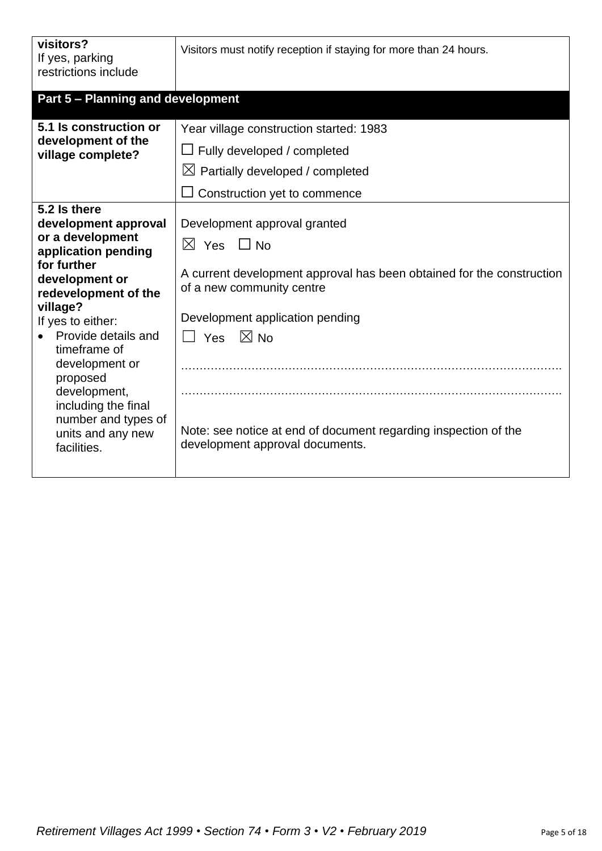| visitors?<br>If yes, parking<br>restrictions include                                                                                                                                                                                                                                                                                             | Visitors must notify reception if staying for more than 24 hours.                                                                                                                                                                                                                                                                        |
|--------------------------------------------------------------------------------------------------------------------------------------------------------------------------------------------------------------------------------------------------------------------------------------------------------------------------------------------------|------------------------------------------------------------------------------------------------------------------------------------------------------------------------------------------------------------------------------------------------------------------------------------------------------------------------------------------|
| <b>Part 5 - Planning and development</b>                                                                                                                                                                                                                                                                                                         |                                                                                                                                                                                                                                                                                                                                          |
| 5.1 Is construction or<br>development of the<br>village complete?                                                                                                                                                                                                                                                                                | Year village construction started: 1983<br>$\Box$ Fully developed / completed<br>$\boxtimes$ Partially developed / completed<br>Construction yet to commence                                                                                                                                                                             |
| 5.2 Is there<br>development approval<br>or a development<br>application pending<br>for further<br>development or<br>redevelopment of the<br>village?<br>If yes to either:<br>Provide details and<br>timeframe of<br>development or<br>proposed<br>development,<br>including the final<br>number and types of<br>units and any new<br>facilities. | Development approval granted<br>$\boxtimes$ Yes $\Box$ No<br>A current development approval has been obtained for the construction<br>of a new community centre<br>Development application pending<br>$\boxtimes$ No<br>$\Box$ Yes<br>Note: see notice at end of document regarding inspection of the<br>development approval documents. |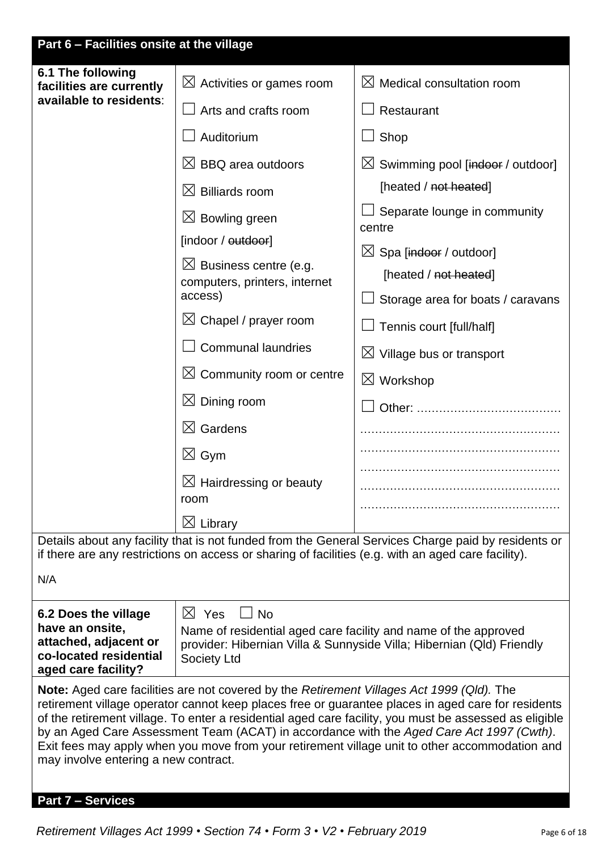| Part 6 - Facilities onsite at the village                                                                                                                                                                                                                                                                                                                                                                                                                                                                                                       |                                                                                                     |                                                                                                     |  |
|-------------------------------------------------------------------------------------------------------------------------------------------------------------------------------------------------------------------------------------------------------------------------------------------------------------------------------------------------------------------------------------------------------------------------------------------------------------------------------------------------------------------------------------------------|-----------------------------------------------------------------------------------------------------|-----------------------------------------------------------------------------------------------------|--|
| 6.1 The following<br>facilities are currently                                                                                                                                                                                                                                                                                                                                                                                                                                                                                                   | $\boxtimes$ Activities or games room                                                                | $\boxtimes$ Medical consultation room                                                               |  |
| available to residents:                                                                                                                                                                                                                                                                                                                                                                                                                                                                                                                         | Arts and crafts room                                                                                | Restaurant                                                                                          |  |
|                                                                                                                                                                                                                                                                                                                                                                                                                                                                                                                                                 | Auditorium                                                                                          | Shop                                                                                                |  |
|                                                                                                                                                                                                                                                                                                                                                                                                                                                                                                                                                 | $\boxtimes$ BBQ area outdoors                                                                       | $\boxtimes$ Swimming pool [indoor / outdoor]                                                        |  |
|                                                                                                                                                                                                                                                                                                                                                                                                                                                                                                                                                 | $\boxtimes$ Billiards room                                                                          | [heated / not heated]                                                                               |  |
|                                                                                                                                                                                                                                                                                                                                                                                                                                                                                                                                                 | $\boxtimes$ Bowling green                                                                           | Separate lounge in community                                                                        |  |
|                                                                                                                                                                                                                                                                                                                                                                                                                                                                                                                                                 | [indoor / outdoor]                                                                                  | centre                                                                                              |  |
|                                                                                                                                                                                                                                                                                                                                                                                                                                                                                                                                                 | $\boxtimes$ Business centre (e.g.                                                                   | $\boxtimes$ Spa [indoor / outdoor]<br>[heated / not heated]                                         |  |
|                                                                                                                                                                                                                                                                                                                                                                                                                                                                                                                                                 | computers, printers, internet<br>access)                                                            | Storage area for boats / caravans                                                                   |  |
|                                                                                                                                                                                                                                                                                                                                                                                                                                                                                                                                                 | $\boxtimes$ Chapel / prayer room                                                                    | Tennis court [full/half]                                                                            |  |
|                                                                                                                                                                                                                                                                                                                                                                                                                                                                                                                                                 | <b>Communal laundries</b>                                                                           | $\boxtimes$ Village bus or transport                                                                |  |
|                                                                                                                                                                                                                                                                                                                                                                                                                                                                                                                                                 | $\boxtimes$ Community room or centre                                                                | $\boxtimes$ Workshop                                                                                |  |
|                                                                                                                                                                                                                                                                                                                                                                                                                                                                                                                                                 | $\boxtimes$ Dining room                                                                             | Other:                                                                                              |  |
|                                                                                                                                                                                                                                                                                                                                                                                                                                                                                                                                                 | $\boxtimes$ Gardens                                                                                 |                                                                                                     |  |
|                                                                                                                                                                                                                                                                                                                                                                                                                                                                                                                                                 | $\boxtimes$ Gym                                                                                     |                                                                                                     |  |
|                                                                                                                                                                                                                                                                                                                                                                                                                                                                                                                                                 | $\boxtimes$ Hairdressing or beauty                                                                  |                                                                                                     |  |
|                                                                                                                                                                                                                                                                                                                                                                                                                                                                                                                                                 | room                                                                                                |                                                                                                     |  |
|                                                                                                                                                                                                                                                                                                                                                                                                                                                                                                                                                 | $\boxtimes$ Library                                                                                 | Details about any facility that is not funded from the General Services Charge paid by residents or |  |
|                                                                                                                                                                                                                                                                                                                                                                                                                                                                                                                                                 | if there are any restrictions on access or sharing of facilities (e.g. with an aged care facility). |                                                                                                     |  |
| N/A                                                                                                                                                                                                                                                                                                                                                                                                                                                                                                                                             |                                                                                                     |                                                                                                     |  |
| 6.2 Does the village                                                                                                                                                                                                                                                                                                                                                                                                                                                                                                                            | $\boxtimes$ Yes<br>$\Box$ No                                                                        |                                                                                                     |  |
| have an onsite,<br>attached, adjacent or<br>co-located residential<br>aged care facility?                                                                                                                                                                                                                                                                                                                                                                                                                                                       | Name of residential aged care facility and name of the approved<br><b>Society Ltd</b>               | provider: Hibernian Villa & Sunnyside Villa; Hibernian (Qld) Friendly                               |  |
| Note: Aged care facilities are not covered by the Retirement Villages Act 1999 (Qld). The<br>retirement village operator cannot keep places free or guarantee places in aged care for residents<br>of the retirement village. To enter a residential aged care facility, you must be assessed as eligible<br>by an Aged Care Assessment Team (ACAT) in accordance with the Aged Care Act 1997 (Cwth).<br>Exit fees may apply when you move from your retirement village unit to other accommodation and<br>may involve entering a new contract. |                                                                                                     |                                                                                                     |  |
| <b>Part 7 - Services</b>                                                                                                                                                                                                                                                                                                                                                                                                                                                                                                                        |                                                                                                     |                                                                                                     |  |

*Retirement Villages Act 1999 • Section 74 • Form 3 • V2 • February 2019* Page 6 of 18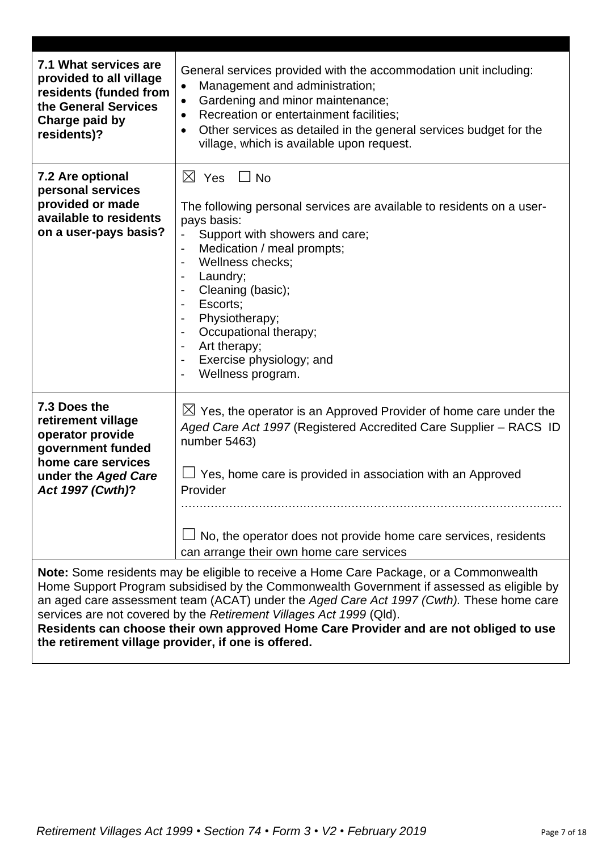| 7.1 What services are<br>provided to all village<br>residents (funded from<br>the General Services<br>Charge paid by<br>residents)?                                                                                                                                                                                                                                                                                                                                                                    | General services provided with the accommodation unit including:<br>Management and administration;<br>$\bullet$<br>Gardening and minor maintenance;<br>$\bullet$<br>Recreation or entertainment facilities:<br>$\bullet$<br>Other services as detailed in the general services budget for the<br>$\bullet$<br>village, which is available upon request.                                    |  |
|--------------------------------------------------------------------------------------------------------------------------------------------------------------------------------------------------------------------------------------------------------------------------------------------------------------------------------------------------------------------------------------------------------------------------------------------------------------------------------------------------------|--------------------------------------------------------------------------------------------------------------------------------------------------------------------------------------------------------------------------------------------------------------------------------------------------------------------------------------------------------------------------------------------|--|
| 7.2 Are optional<br>personal services<br>provided or made<br>available to residents<br>on a user-pays basis?                                                                                                                                                                                                                                                                                                                                                                                           | $\boxtimes$ Yes $\Box$ No<br>The following personal services are available to residents on a user-<br>pays basis:<br>Support with showers and care;<br>Medication / meal prompts;<br>$\overline{\phantom{a}}$<br>Wellness checks;<br>Laundry;<br>Cleaning (basic);<br>Escorts:<br>Physiotherapy;<br>Occupational therapy;<br>Art therapy;<br>Exercise physiology; and<br>Wellness program. |  |
| 7.3 Does the<br>retirement village<br>operator provide<br>government funded<br>home care services<br>under the Aged Care<br>Act 1997 (Cwth)?                                                                                                                                                                                                                                                                                                                                                           | $\boxtimes$ Yes, the operator is an Approved Provider of home care under the<br>Aged Care Act 1997 (Registered Accredited Care Supplier - RACS ID<br>number 5463)<br>Yes, home care is provided in association with an Approved<br>Provider<br>No, the operator does not provide home care services, residents<br>can arrange their own home care services                                 |  |
| Note: Some residents may be eligible to receive a Home Care Package, or a Commonwealth<br>Home Support Program subsidised by the Commonwealth Government if assessed as eligible by<br>an aged care assessment team (ACAT) under the Aged Care Act 1997 (Cwth). These home care<br>services are not covered by the Retirement Villages Act 1999 (Qld).<br>Residents can choose their own approved Home Care Provider and are not obliged to use<br>the retirement village provider, if one is offered. |                                                                                                                                                                                                                                                                                                                                                                                            |  |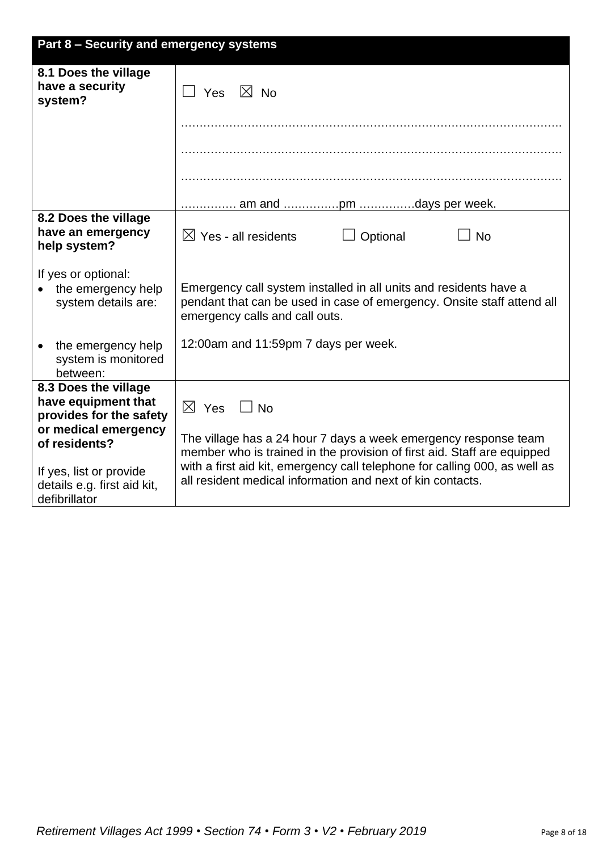| Part 8 - Security and emergency systems                                                                                                                                                    |                                                                                                                                                                                                                                                                                                                          |  |  |
|--------------------------------------------------------------------------------------------------------------------------------------------------------------------------------------------|--------------------------------------------------------------------------------------------------------------------------------------------------------------------------------------------------------------------------------------------------------------------------------------------------------------------------|--|--|
| 8.1 Does the village<br>have a security<br>system?                                                                                                                                         | $\boxtimes$ No<br>Yes                                                                                                                                                                                                                                                                                                    |  |  |
|                                                                                                                                                                                            |                                                                                                                                                                                                                                                                                                                          |  |  |
|                                                                                                                                                                                            |                                                                                                                                                                                                                                                                                                                          |  |  |
|                                                                                                                                                                                            |                                                                                                                                                                                                                                                                                                                          |  |  |
|                                                                                                                                                                                            |                                                                                                                                                                                                                                                                                                                          |  |  |
| 8.2 Does the village<br>have an emergency<br>help system?                                                                                                                                  | $\boxtimes$ Yes - all residents<br><b>No</b><br>Optional                                                                                                                                                                                                                                                                 |  |  |
| If yes or optional:<br>the emergency help<br>system details are:                                                                                                                           | Emergency call system installed in all units and residents have a<br>pendant that can be used in case of emergency. Onsite staff attend all<br>emergency calls and call outs.                                                                                                                                            |  |  |
| the emergency help<br>system is monitored<br>between:                                                                                                                                      | 12:00am and 11:59pm 7 days per week.                                                                                                                                                                                                                                                                                     |  |  |
| 8.3 Does the village<br>have equipment that<br>provides for the safety<br>or medical emergency<br>of residents?<br>If yes, list or provide<br>details e.g. first aid kit,<br>defibrillator | $\boxtimes$ Yes<br>$\sqcup$ No<br>The village has a 24 hour 7 days a week emergency response team<br>member who is trained in the provision of first aid. Staff are equipped<br>with a first aid kit, emergency call telephone for calling 000, as well as<br>all resident medical information and next of kin contacts. |  |  |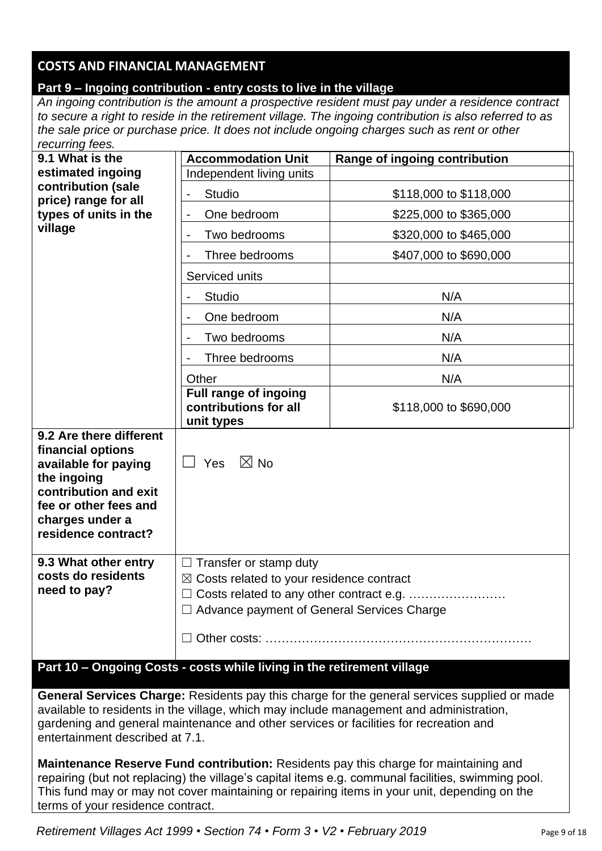# **COSTS AND FINANCIAL MANAGEMENT**

# **Part 9 – Ingoing contribution - entry costs to live in the village**

*An ingoing contribution is the amount a prospective resident must pay under a residence contract to secure a right to reside in the retirement village. The ingoing contribution is also referred to as the sale price or purchase price. It does not include ongoing charges such as rent or other recurring fees.*

| .<br>9.1 What is the                                                                                                                                                            | <b>Accommodation Unit</b>                                                                                                                                                                | Range of ingoing contribution |
|---------------------------------------------------------------------------------------------------------------------------------------------------------------------------------|------------------------------------------------------------------------------------------------------------------------------------------------------------------------------------------|-------------------------------|
| estimated ingoing                                                                                                                                                               | Independent living units                                                                                                                                                                 |                               |
| contribution (sale<br>price) range for all                                                                                                                                      | <b>Studio</b>                                                                                                                                                                            | \$118,000 to \$118,000        |
| types of units in the                                                                                                                                                           | One bedroom                                                                                                                                                                              | \$225,000 to \$365,000        |
| village                                                                                                                                                                         | Two bedrooms                                                                                                                                                                             | \$320,000 to \$465,000        |
|                                                                                                                                                                                 | Three bedrooms                                                                                                                                                                           | \$407,000 to \$690,000        |
|                                                                                                                                                                                 | Serviced units                                                                                                                                                                           |                               |
|                                                                                                                                                                                 | <b>Studio</b>                                                                                                                                                                            | N/A                           |
|                                                                                                                                                                                 | One bedroom                                                                                                                                                                              | N/A                           |
|                                                                                                                                                                                 | Two bedrooms                                                                                                                                                                             | N/A                           |
|                                                                                                                                                                                 | Three bedrooms                                                                                                                                                                           | N/A                           |
|                                                                                                                                                                                 | Other                                                                                                                                                                                    | N/A                           |
|                                                                                                                                                                                 | Full range of ingoing<br>contributions for all<br>unit types                                                                                                                             | \$118,000 to \$690,000        |
| 9.2 Are there different<br>financial options<br>available for paying<br>the ingoing<br>contribution and exit<br>fee or other fees and<br>charges under a<br>residence contract? | $\boxtimes$ No<br>Yes                                                                                                                                                                    |                               |
| 9.3 What other entry<br>costs do residents<br>need to pay?                                                                                                                      | $\Box$ Transfer or stamp duty<br>$\boxtimes$ Costs related to your residence contract<br>□ Costs related to any other contract e.g.<br>$\Box$ Advance payment of General Services Charge |                               |

## **Part 10 – Ongoing Costs - costs while living in the retirement village**

**General Services Charge:** Residents pay this charge for the general services supplied or made available to residents in the village, which may include management and administration, gardening and general maintenance and other services or facilities for recreation and entertainment described at 7.1.

**Maintenance Reserve Fund contribution:** Residents pay this charge for maintaining and repairing (but not replacing) the village's capital items e.g. communal facilities, swimming pool. This fund may or may not cover maintaining or repairing items in your unit, depending on the terms of your residence contract.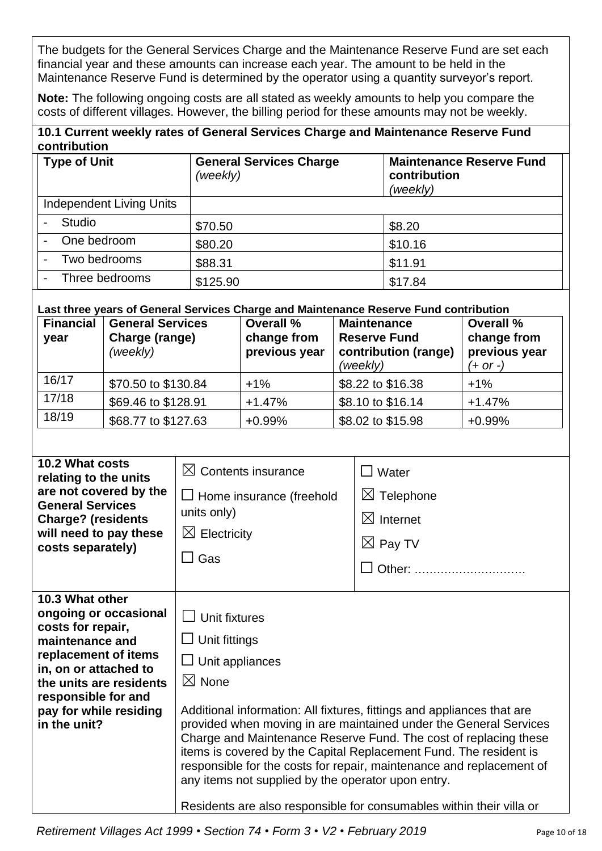The budgets for the General Services Charge and the Maintenance Reserve Fund are set each financial year and these amounts can increase each year. The amount to be held in the Maintenance Reserve Fund is determined by the operator using a quantity surveyor's report.

**Note:** The following ongoing costs are all stated as weekly amounts to help you compare the costs of different villages. However, the billing period for these amounts may not be weekly.

| 10.1 Current weekly rates of General Services Charge and Maintenance Reserve Fund |  |
|-----------------------------------------------------------------------------------|--|
| contribution                                                                      |  |

| <b>Type of Unit</b>             | <b>General Services Charge</b><br>(weekly) | <b>Maintenance Reserve Fund</b><br>contribution<br>(weekly) |
|---------------------------------|--------------------------------------------|-------------------------------------------------------------|
| <b>Independent Living Units</b> |                                            |                                                             |
| Studio                          | \$70.50                                    | \$8.20                                                      |
| One bedroom                     | \$80.20                                    | \$10.16                                                     |
| Two bedrooms                    | \$88.31                                    | \$11.91                                                     |
| Three bedrooms                  | \$125.90                                   | \$17.84                                                     |

#### **Last three years of General Services Charge and Maintenance Reserve Fund contribution**

| <b>Financial</b><br>year | <b>General Services</b><br>Charge (range)<br>(weekly) | <b>Overall %</b><br>change from<br>previous year | <b>Maintenance</b><br><b>Reserve Fund</b><br>contribution (range)<br>(weekly) | <b>Overall %</b><br>change from<br>previous year<br>$(+ or -)$ |
|--------------------------|-------------------------------------------------------|--------------------------------------------------|-------------------------------------------------------------------------------|----------------------------------------------------------------|
| 16/17                    | \$70.50 to \$130.84                                   | $+1\%$                                           | \$8.22 to \$16.38                                                             | $+1\%$                                                         |
| 17/18                    | \$69.46 to \$128.91                                   | $+1.47%$                                         | \$8.10 to \$16.14                                                             | $+1.47%$                                                       |
| 18/19                    | \$68.77 to \$127.63                                   | $+0.99%$                                         | \$8.02 to \$15.98                                                             | $+0.99%$                                                       |

| 10.2 What costs<br>relating to the units<br>are not covered by the<br><b>General Services</b><br><b>Charge? (residents</b><br>will need to pay these<br>costs separately)                                                     | $\boxtimes$ Contents insurance<br>$\Box$ Home insurance (freehold<br>units only)<br>$\boxtimes$ Electricity<br>$\square$ Gas              | $\Box$ Water<br>$\boxtimes$ Telephone<br>$\boxtimes$ Internet<br>$\boxtimes$ Pay TV<br>Other:<br>$\perp$                                                                                                                                                                                                                                                                                                                             |
|-------------------------------------------------------------------------------------------------------------------------------------------------------------------------------------------------------------------------------|-------------------------------------------------------------------------------------------------------------------------------------------|--------------------------------------------------------------------------------------------------------------------------------------------------------------------------------------------------------------------------------------------------------------------------------------------------------------------------------------------------------------------------------------------------------------------------------------|
| 10.3 What other<br>ongoing or occasional<br>costs for repair,<br>maintenance and<br>replacement of items<br>in, on or attached to<br>the units are residents<br>responsible for and<br>pay for while residing<br>in the unit? | Unit fixtures<br>$\Box$ Unit fittings<br>$\Box$ Unit appliances<br>$\boxtimes$ None<br>any items not supplied by the operator upon entry. | Additional information: All fixtures, fittings and appliances that are<br>provided when moving in are maintained under the General Services<br>Charge and Maintenance Reserve Fund. The cost of replacing these<br>items is covered by the Capital Replacement Fund. The resident is<br>responsible for the costs for repair, maintenance and replacement of<br>Residents are also responsible for consumables within their villa or |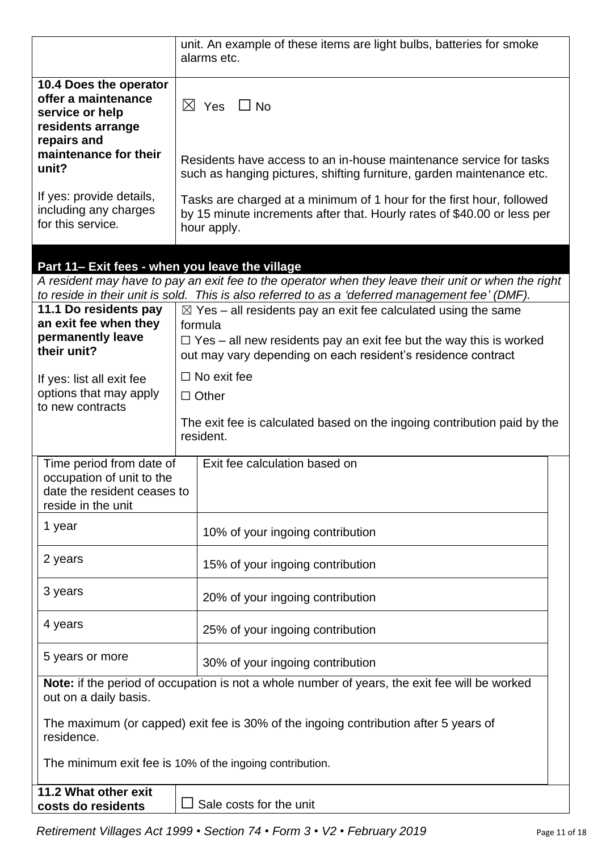|                                                                                                            | unit. An example of these items are light bulbs, batteries for smoke<br>alarms etc.                                                                                                                                               |
|------------------------------------------------------------------------------------------------------------|-----------------------------------------------------------------------------------------------------------------------------------------------------------------------------------------------------------------------------------|
| 10.4 Does the operator<br>offer a maintenance<br>service or help<br>residents arrange<br>repairs and       | $\boxtimes$ Yes $\Box$ No                                                                                                                                                                                                         |
| maintenance for their<br>unit?                                                                             | Residents have access to an in-house maintenance service for tasks<br>such as hanging pictures, shifting furniture, garden maintenance etc.                                                                                       |
| If yes: provide details,<br>including any charges<br>for this service.                                     | Tasks are charged at a minimum of 1 hour for the first hour, followed<br>by 15 minute increments after that. Hourly rates of \$40.00 or less per<br>hour apply.                                                                   |
| Part 11- Exit fees - when you leave the village                                                            | A resident may have to pay an exit fee to the operator when they leave their unit or when the right<br>to reside in their unit is sold. This is also referred to as a 'deferred management fee' (DMF).                            |
| 11.1 Do residents pay<br>an exit fee when they<br>permanently leave<br>their unit?                         | $\boxtimes$ Yes – all residents pay an exit fee calculated using the same<br>formula<br>$\Box$ Yes – all new residents pay an exit fee but the way this is worked<br>out may vary depending on each resident's residence contract |
| If yes: list all exit fee<br>options that may apply<br>to new contracts                                    | $\Box$ No exit fee<br>$\Box$ Other                                                                                                                                                                                                |
|                                                                                                            | The exit fee is calculated based on the ingoing contribution paid by the<br>resident.                                                                                                                                             |
| Time period from date of<br>occupation of unit to the<br>date the resident ceases to<br>reside in the unit | Exit fee calculation based on                                                                                                                                                                                                     |
| 1 year                                                                                                     | 10% of your ingoing contribution                                                                                                                                                                                                  |
| 2 years                                                                                                    | 15% of your ingoing contribution                                                                                                                                                                                                  |
| 3 years                                                                                                    | 20% of your ingoing contribution                                                                                                                                                                                                  |
| 4 years                                                                                                    | 25% of your ingoing contribution                                                                                                                                                                                                  |
| 5 years or more                                                                                            | 30% of your ingoing contribution                                                                                                                                                                                                  |
| out on a daily basis.                                                                                      | <b>Note:</b> if the period of occupation is not a whole number of years, the exit fee will be worked                                                                                                                              |
| The maximum (or capped) exit fee is 30% of the ingoing contribution after 5 years of<br>residence.         |                                                                                                                                                                                                                                   |
|                                                                                                            | The minimum exit fee is 10% of the ingoing contribution.                                                                                                                                                                          |
| 11.2 What other exit<br>costs do residents                                                                 | Sale costs for the unit                                                                                                                                                                                                           |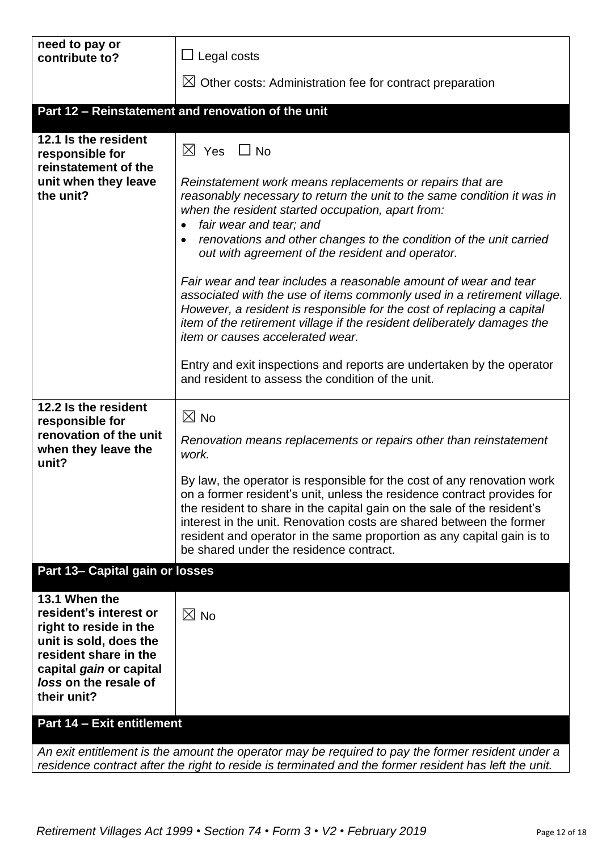| need to pay or<br>contribute to?                                                                                                                                                        | $\Box$ Legal costs                                                                                                                                                                                                                                                                                                                                                                                                                                                                                                                                                                                                                                                                                                                                                                           |
|-----------------------------------------------------------------------------------------------------------------------------------------------------------------------------------------|----------------------------------------------------------------------------------------------------------------------------------------------------------------------------------------------------------------------------------------------------------------------------------------------------------------------------------------------------------------------------------------------------------------------------------------------------------------------------------------------------------------------------------------------------------------------------------------------------------------------------------------------------------------------------------------------------------------------------------------------------------------------------------------------|
|                                                                                                                                                                                         | $\boxtimes$ Other costs: Administration fee for contract preparation                                                                                                                                                                                                                                                                                                                                                                                                                                                                                                                                                                                                                                                                                                                         |
|                                                                                                                                                                                         | Part 12 - Reinstatement and renovation of the unit                                                                                                                                                                                                                                                                                                                                                                                                                                                                                                                                                                                                                                                                                                                                           |
| 12.1 Is the resident<br>responsible for<br>reinstatement of the<br>unit when they leave<br>the unit?                                                                                    | $\boxtimes$ Yes $\Box$ No<br>Reinstatement work means replacements or repairs that are<br>reasonably necessary to return the unit to the same condition it was in<br>when the resident started occupation, apart from:<br>fair wear and tear; and<br>renovations and other changes to the condition of the unit carried<br>out with agreement of the resident and operator.<br>Fair wear and tear includes a reasonable amount of wear and tear<br>associated with the use of items commonly used in a retirement village.<br>However, a resident is responsible for the cost of replacing a capital<br>item of the retirement village if the resident deliberately damages the<br>item or causes accelerated wear.<br>Entry and exit inspections and reports are undertaken by the operator |
|                                                                                                                                                                                         | and resident to assess the condition of the unit.                                                                                                                                                                                                                                                                                                                                                                                                                                                                                                                                                                                                                                                                                                                                            |
| 12.2 Is the resident<br>responsible for<br>renovation of the unit<br>when they leave the<br>unit?                                                                                       | $\boxtimes$ No<br>Renovation means replacements or repairs other than reinstatement<br>work.                                                                                                                                                                                                                                                                                                                                                                                                                                                                                                                                                                                                                                                                                                 |
|                                                                                                                                                                                         | By law, the operator is responsible for the cost of any renovation work<br>on a former resident's unit, unless the residence contract provides for<br>the resident to share in the capital gain on the sale of the resident's<br>interest in the unit. Renovation costs are shared between the former<br>resident and operator in the same proportion as any capital gain is to<br>be shared under the residence contract.                                                                                                                                                                                                                                                                                                                                                                   |
| Part 13- Capital gain or losses                                                                                                                                                         |                                                                                                                                                                                                                                                                                                                                                                                                                                                                                                                                                                                                                                                                                                                                                                                              |
| 13.1 When the<br>resident's interest or<br>right to reside in the<br>unit is sold, does the<br>resident share in the<br>capital gain or capital<br>loss on the resale of<br>their unit? | $\boxtimes$ No                                                                                                                                                                                                                                                                                                                                                                                                                                                                                                                                                                                                                                                                                                                                                                               |
| Part 14 - Exit entitlement                                                                                                                                                              |                                                                                                                                                                                                                                                                                                                                                                                                                                                                                                                                                                                                                                                                                                                                                                                              |
|                                                                                                                                                                                         | An exit entitlement is the amount the operator may be required to pay the former resident under a<br>residence contract after the right to reside is terminated and the former resident has left the unit.                                                                                                                                                                                                                                                                                                                                                                                                                                                                                                                                                                                   |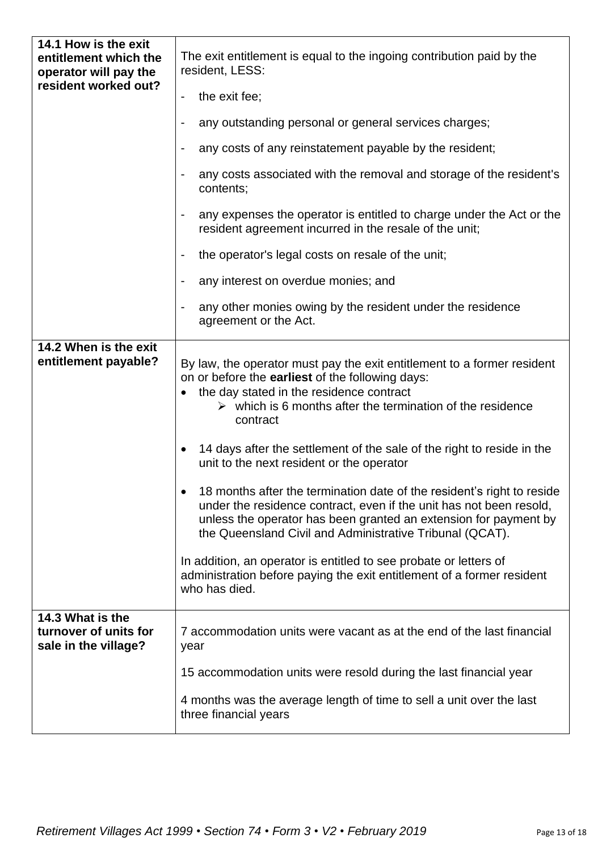| 14.1 How is the exit<br>entitlement which the<br>operator will pay the | The exit entitlement is equal to the ingoing contribution paid by the<br>resident, LESS:                                                                                                                                                                                                                                                                                                                                                                                                                                                                                                                                                                                                                                                                                                                                                 |
|------------------------------------------------------------------------|------------------------------------------------------------------------------------------------------------------------------------------------------------------------------------------------------------------------------------------------------------------------------------------------------------------------------------------------------------------------------------------------------------------------------------------------------------------------------------------------------------------------------------------------------------------------------------------------------------------------------------------------------------------------------------------------------------------------------------------------------------------------------------------------------------------------------------------|
| resident worked out?                                                   | the exit fee;                                                                                                                                                                                                                                                                                                                                                                                                                                                                                                                                                                                                                                                                                                                                                                                                                            |
|                                                                        | any outstanding personal or general services charges;                                                                                                                                                                                                                                                                                                                                                                                                                                                                                                                                                                                                                                                                                                                                                                                    |
|                                                                        | any costs of any reinstatement payable by the resident;<br>-                                                                                                                                                                                                                                                                                                                                                                                                                                                                                                                                                                                                                                                                                                                                                                             |
|                                                                        | any costs associated with the removal and storage of the resident's<br>contents;                                                                                                                                                                                                                                                                                                                                                                                                                                                                                                                                                                                                                                                                                                                                                         |
|                                                                        | any expenses the operator is entitled to charge under the Act or the<br>resident agreement incurred in the resale of the unit;                                                                                                                                                                                                                                                                                                                                                                                                                                                                                                                                                                                                                                                                                                           |
|                                                                        | the operator's legal costs on resale of the unit;                                                                                                                                                                                                                                                                                                                                                                                                                                                                                                                                                                                                                                                                                                                                                                                        |
|                                                                        | any interest on overdue monies; and                                                                                                                                                                                                                                                                                                                                                                                                                                                                                                                                                                                                                                                                                                                                                                                                      |
|                                                                        | any other monies owing by the resident under the residence<br>agreement or the Act.                                                                                                                                                                                                                                                                                                                                                                                                                                                                                                                                                                                                                                                                                                                                                      |
| 14.2 When is the exit<br>entitlement payable?<br>14.3 What is the      | By law, the operator must pay the exit entitlement to a former resident<br>on or before the earliest of the following days:<br>the day stated in the residence contract<br>$\triangleright$ which is 6 months after the termination of the residence<br>contract<br>14 days after the settlement of the sale of the right to reside in the<br>unit to the next resident or the operator<br>18 months after the termination date of the resident's right to reside<br>under the residence contract, even if the unit has not been resold,<br>unless the operator has been granted an extension for payment by<br>the Queensland Civil and Administrative Tribunal (QCAT).<br>In addition, an operator is entitled to see probate or letters of<br>administration before paying the exit entitlement of a former resident<br>who has died. |
| turnover of units for<br>sale in the village?                          | 7 accommodation units were vacant as at the end of the last financial<br>year<br>15 accommodation units were resold during the last financial year                                                                                                                                                                                                                                                                                                                                                                                                                                                                                                                                                                                                                                                                                       |
|                                                                        | 4 months was the average length of time to sell a unit over the last<br>three financial years                                                                                                                                                                                                                                                                                                                                                                                                                                                                                                                                                                                                                                                                                                                                            |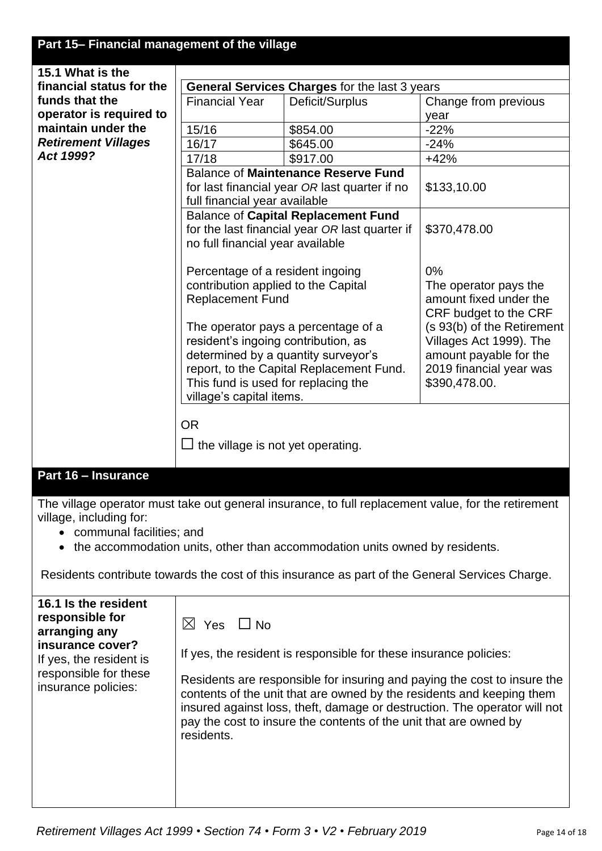# **Part 15– Financial management of the village**

| 15.1 What is the           |                                                                                 |                                                                                             |                                                     |
|----------------------------|---------------------------------------------------------------------------------|---------------------------------------------------------------------------------------------|-----------------------------------------------------|
| financial status for the   | General Services Charges for the last 3 years                                   |                                                                                             |                                                     |
| funds that the             | <b>Financial Year</b>                                                           | Deficit/Surplus                                                                             | Change from previous                                |
| operator is required to    |                                                                                 |                                                                                             | year                                                |
| maintain under the         | 15/16                                                                           | \$854.00                                                                                    | $-22%$                                              |
| <b>Retirement Villages</b> | 16/17                                                                           | \$645.00                                                                                    | $-24%$                                              |
| Act 1999?                  | 17/18                                                                           | \$917.00                                                                                    | $+42%$                                              |
|                            |                                                                                 | <b>Balance of Maintenance Reserve Fund</b><br>for last financial year OR last quarter if no | \$133,10.00                                         |
|                            | full financial year available                                                   |                                                                                             |                                                     |
|                            |                                                                                 | <b>Balance of Capital Replacement Fund</b>                                                  |                                                     |
|                            |                                                                                 | for the last financial year OR last quarter if                                              | \$370,478.00                                        |
|                            | no full financial year available                                                |                                                                                             |                                                     |
|                            |                                                                                 |                                                                                             |                                                     |
|                            | Percentage of a resident ingoing                                                |                                                                                             | 0%                                                  |
|                            | contribution applied to the Capital                                             |                                                                                             | The operator pays the                               |
|                            | <b>Replacement Fund</b>                                                         |                                                                                             | amount fixed under the                              |
|                            |                                                                                 | The operator pays a percentage of a                                                         | CRF budget to the CRF<br>(s 93(b) of the Retirement |
|                            | resident's ingoing contribution, as                                             |                                                                                             | Villages Act 1999). The                             |
|                            |                                                                                 |                                                                                             | amount payable for the                              |
|                            | determined by a quantity surveyor's<br>report, to the Capital Replacement Fund. |                                                                                             | 2019 financial year was                             |
|                            | This fund is used for replacing the                                             |                                                                                             | \$390,478.00.                                       |
|                            | village's capital items.                                                        |                                                                                             |                                                     |
|                            |                                                                                 |                                                                                             |                                                     |
|                            | <b>OR</b>                                                                       |                                                                                             |                                                     |
|                            | the village is not yet operating.                                               |                                                                                             |                                                     |
|                            |                                                                                 |                                                                                             |                                                     |
| Part 16 - Insurance        |                                                                                 |                                                                                             |                                                     |

The village operator must take out general insurance, to full replacement value, for the retirement village, including for:

- communal facilities; and
- the accommodation units, other than accommodation units owned by residents.

Residents contribute towards the cost of this insurance as part of the General Services Charge.

| 16.1 Is the resident    | $\boxtimes$ Yes $\Box$ No                                                 |
|-------------------------|---------------------------------------------------------------------------|
| responsible for         | If yes, the resident is responsible for these insurance policies:         |
| arranging any           | Residents are responsible for insuring and paying the cost to insure the  |
| insurance cover?        | contents of the unit that are owned by the residents and keeping them     |
| If yes, the resident is | insured against loss, theft, damage or destruction. The operator will not |
| responsible for these   | pay the cost to insure the contents of the unit that are owned by         |
| insurance policies:     | residents.                                                                |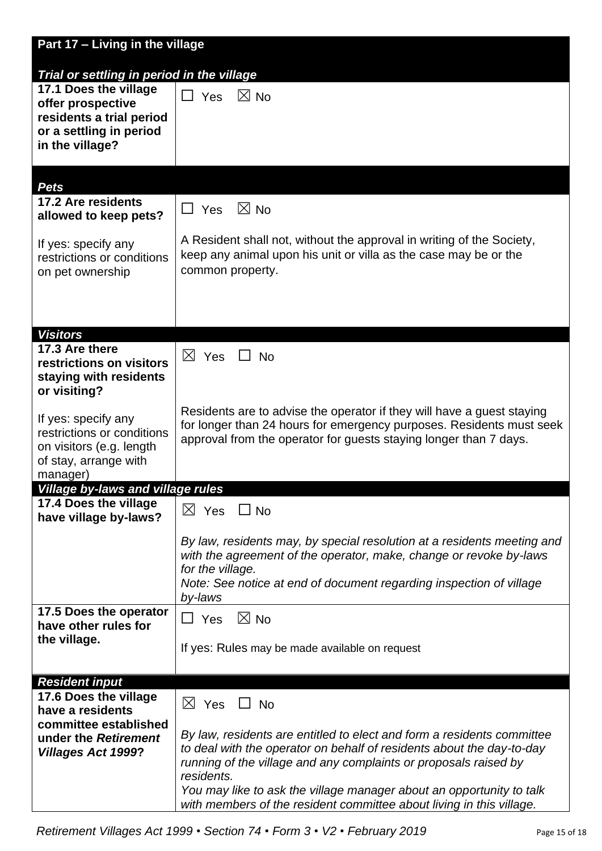| Part 17 - Living in the village                    |                                                                                                                                                |
|----------------------------------------------------|------------------------------------------------------------------------------------------------------------------------------------------------|
| Trial or settling in period in the village         |                                                                                                                                                |
| 17.1 Does the village                              |                                                                                                                                                |
| offer prospective                                  | $\Box$ Yes<br>$\boxtimes$ No                                                                                                                   |
| residents a trial period                           |                                                                                                                                                |
| or a settling in period                            |                                                                                                                                                |
| in the village?                                    |                                                                                                                                                |
|                                                    |                                                                                                                                                |
| <b>Pets</b>                                        |                                                                                                                                                |
| 17.2 Are residents                                 | $\boxtimes$ No                                                                                                                                 |
| allowed to keep pets?                              | $\Box$ Yes                                                                                                                                     |
|                                                    | A Resident shall not, without the approval in writing of the Society,                                                                          |
| If yes: specify any<br>restrictions or conditions  | keep any animal upon his unit or villa as the case may be or the                                                                               |
| on pet ownership                                   | common property.                                                                                                                               |
|                                                    |                                                                                                                                                |
|                                                    |                                                                                                                                                |
|                                                    |                                                                                                                                                |
| <b>Visitors</b>                                    |                                                                                                                                                |
| 17.3 Are there                                     | $\boxtimes$ Yes<br><b>No</b>                                                                                                                   |
| restrictions on visitors<br>staying with residents |                                                                                                                                                |
| or visiting?                                       |                                                                                                                                                |
|                                                    |                                                                                                                                                |
| If yes: specify any                                | Residents are to advise the operator if they will have a guest staying<br>for longer than 24 hours for emergency purposes. Residents must seek |
| restrictions or conditions                         | approval from the operator for guests staying longer than 7 days.                                                                              |
| on visitors (e.g. length                           |                                                                                                                                                |
| of stay, arrange with<br>manager)                  |                                                                                                                                                |
| <b>Village by-laws and village rules</b>           |                                                                                                                                                |
| 17.4 Does the village                              | $\boxtimes$ Yes $\Box$ No                                                                                                                      |
| have village by-laws?                              |                                                                                                                                                |
|                                                    | By law, residents may, by special resolution at a residents meeting and                                                                        |
|                                                    | with the agreement of the operator, make, change or revoke by-laws                                                                             |
|                                                    | for the village.                                                                                                                               |
|                                                    | Note: See notice at end of document regarding inspection of village                                                                            |
| 17.5 Does the operator                             | by-laws                                                                                                                                        |
| have other rules for                               | $\boxtimes$ No<br>$\Box$ Yes                                                                                                                   |
| the village.                                       | If yes: Rules may be made available on request                                                                                                 |
|                                                    |                                                                                                                                                |
| <b>Resident input</b>                              |                                                                                                                                                |
| 17.6 Does the village                              | $\boxtimes$ Yes $\Box$ No                                                                                                                      |
| have a residents                                   |                                                                                                                                                |
| committee established                              | By law, residents are entitled to elect and form a residents committee                                                                         |
| under the Retirement<br><b>Villages Act 1999?</b>  | to deal with the operator on behalf of residents about the day-to-day                                                                          |
|                                                    | running of the village and any complaints or proposals raised by                                                                               |
|                                                    | residents.                                                                                                                                     |
|                                                    | You may like to ask the village manager about an opportunity to talk<br>with members of the resident committee about living in this village.   |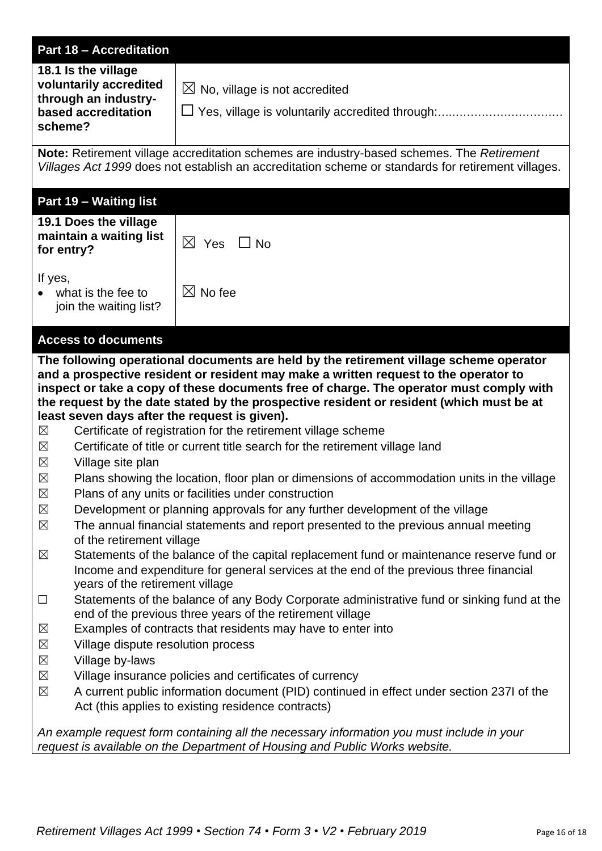| <b>Part 18 - Accreditation</b>                                                                                                                                                                                                                                                                                                                                                                                                                                                                                                                                                                                                            |                                                                                                                                                                                                 |
|-------------------------------------------------------------------------------------------------------------------------------------------------------------------------------------------------------------------------------------------------------------------------------------------------------------------------------------------------------------------------------------------------------------------------------------------------------------------------------------------------------------------------------------------------------------------------------------------------------------------------------------------|-------------------------------------------------------------------------------------------------------------------------------------------------------------------------------------------------|
| 18.1 Is the village<br>voluntarily accredited<br>through an industry-<br>based accreditation<br>scheme?                                                                                                                                                                                                                                                                                                                                                                                                                                                                                                                                   | $\boxtimes$ No, village is not accredited                                                                                                                                                       |
|                                                                                                                                                                                                                                                                                                                                                                                                                                                                                                                                                                                                                                           | Note: Retirement village accreditation schemes are industry-based schemes. The Retirement<br>Villages Act 1999 does not establish an accreditation scheme or standards for retirement villages. |
| Part 19 - Waiting list                                                                                                                                                                                                                                                                                                                                                                                                                                                                                                                                                                                                                    |                                                                                                                                                                                                 |
| 19.1 Does the village<br>maintain a waiting list<br>for entry?                                                                                                                                                                                                                                                                                                                                                                                                                                                                                                                                                                            | $\boxtimes$ Yes<br>$\Box$ No                                                                                                                                                                    |
| If yes,<br>what is the fee to<br>join the waiting list?                                                                                                                                                                                                                                                                                                                                                                                                                                                                                                                                                                                   | $\boxtimes$ No fee                                                                                                                                                                              |
| <b>Access to documents</b>                                                                                                                                                                                                                                                                                                                                                                                                                                                                                                                                                                                                                |                                                                                                                                                                                                 |
| The following operational documents are held by the retirement village scheme operator<br>and a prospective resident or resident may make a written request to the operator to<br>inspect or take a copy of these documents free of charge. The operator must comply with<br>the request by the date stated by the prospective resident or resident (which must be at<br>least seven days after the request is given).<br>Certificate of registration for the retirement village scheme<br>$\boxtimes$<br>Certificate of title or current title search for the retirement village land<br>$\boxtimes$<br>$\boxtimes$<br>Village site plan |                                                                                                                                                                                                 |
| ⊠<br>Plans showing the location, floor plan or dimensions of accommodation units in the village<br>$\boxtimes$<br>Plans of any units or facilities under construction<br>Development or planning approvals for any further development of the village<br>$\boxtimes$<br>$\boxtimes$<br>The annual financial statements and report presented to the previous annual meeting<br>of the retirement village<br>Statements of the balance of the capital replacement fund or maintenance reserve fund or<br>$\boxtimes$<br>Income and expenditure for general services at the end of the previous three financial                              |                                                                                                                                                                                                 |
| years of the retirement village<br>Statements of the balance of any Body Corporate administrative fund or sinking fund at the<br>$\Box$<br>end of the previous three years of the retirement village<br>$\boxtimes$<br>Examples of contracts that residents may have to enter into<br>$\boxtimes$<br>Village dispute resolution process<br>$\boxtimes$<br>Village by-laws<br>$\boxtimes$<br>Village insurance policies and certificates of currency<br>A current public information document (PID) continued in effect under section 237I of the<br>$\boxtimes$<br>Act (this applies to existing residence contracts)                     |                                                                                                                                                                                                 |
|                                                                                                                                                                                                                                                                                                                                                                                                                                                                                                                                                                                                                                           | An example request form containing all the necessary information you must include in your<br>request is available on the Department of Housing and Public Works website.                        |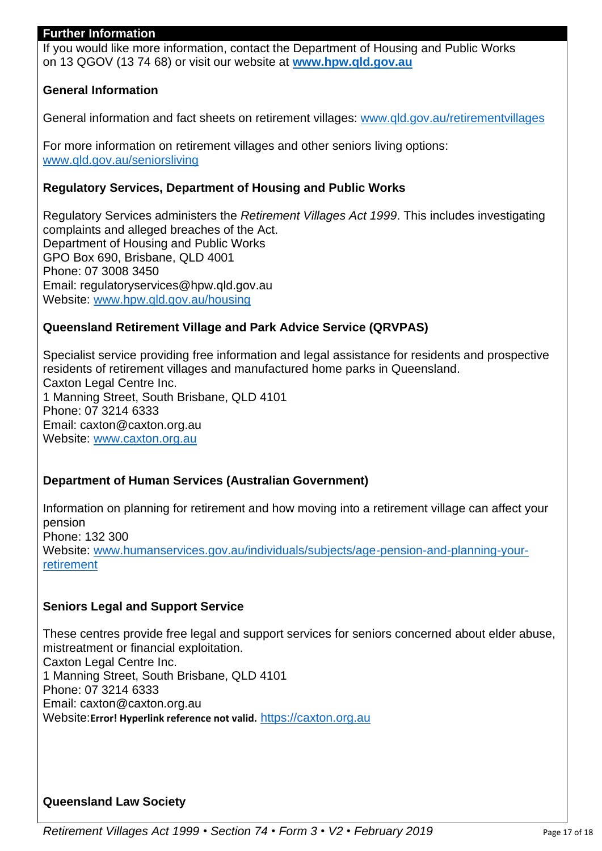#### **Further Information**

If you would like more information, contact the Department of Housing and Public Works on 13 QGOV (13 74 68) or visit our website at **[www.hpw.qld.gov.au](http://www.hpw.qld.gov.au/)**

## **General Information**

General information and fact sheets on retirement villages: [www.qld.gov.au/retirementvillages](http://www.qld.gov.au/retirementvillages)

For more information on retirement villages and other seniors living options: [www.qld.gov.au/seniorsliving](http://www.qld.gov.au/seniorsliving)

#### **Regulatory Services, Department of Housing and Public Works**

Regulatory Services administers the *Retirement Villages Act 1999*. This includes investigating complaints and alleged breaches of the Act. Department of Housing and Public Works GPO Box 690, Brisbane, QLD 4001 Phone: 07 3008 3450 Email: regulatoryservices@hpw.qld.gov.au Website: [www.hpw.qld.gov.au/housing](http://www.hpw.qld.gov.au/housing)

#### **Queensland Retirement Village and Park Advice Service (QRVPAS)**

Specialist service providing free information and legal assistance for residents and prospective residents of retirement villages and manufactured home parks in Queensland. Caxton Legal Centre Inc. 1 Manning Street, South Brisbane, QLD 4101 Phone: 07 3214 6333 Email: caxton@caxton.org.au Website: [www.caxton.org.au](http://www.caxton.org.au/)

#### **Department of Human Services (Australian Government)**

Information on planning for retirement and how moving into a retirement village can affect your pension Phone: 132 300 Website: [www.humanservices.gov.au/individuals/subjects/age-pension-and-planning-your](../AppData/Local/Microsoft/Windows/INetCache/Content.Outlook/AppData/Local/Microsoft/Windows/Temporary%20Internet%20Files/Content.Outlook/AppData/Local/Microsoft/Windows/INetCache/Content.Outlook/AppData/Local/Microsoft/Windows/Temporary%20Internet%20Files/juliet.gross/AppData/Roaming/Microsoft/Word/www.humanservices.gov.au/individuals/subjects/age-pension-and-planning-your-retirement)[retirement](../AppData/Local/Microsoft/Windows/INetCache/Content.Outlook/AppData/Local/Microsoft/Windows/Temporary%20Internet%20Files/Content.Outlook/AppData/Local/Microsoft/Windows/INetCache/Content.Outlook/AppData/Local/Microsoft/Windows/Temporary%20Internet%20Files/juliet.gross/AppData/Roaming/Microsoft/Word/www.humanservices.gov.au/individuals/subjects/age-pension-and-planning-your-retirement)

#### **Seniors Legal and Support Service**

These centres provide free legal and support services for seniors concerned about elder abuse, mistreatment or financial exploitation. Caxton Legal Centre Inc. 1 Manning Street, South Brisbane, QLD 4101 Phone: 07 3214 6333 Email: caxton@caxton.org.au Website:**Error! Hyperlink reference not valid.** [https://caxton.org.au](https://caxton.org.au/)

#### **Queensland Law Society**